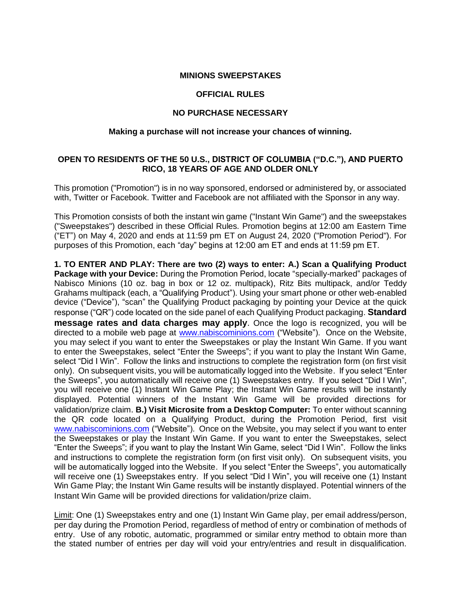#### **MINIONS SWEEPSTAKES**

#### **OFFICIAL RULES**

### **NO PURCHASE NECESSARY**

#### **Making a purchase will not increase your chances of winning.**

# **OPEN TO RESIDENTS OF THE 50 U.S., DISTRICT OF COLUMBIA ("D.C."), AND PUERTO RICO, 18 YEARS OF AGE AND OLDER ONLY**

This promotion ("Promotion") is in no way sponsored, endorsed or administered by, or associated with, Twitter or Facebook. Twitter and Facebook are not affiliated with the Sponsor in any way.

This Promotion consists of both the instant win game ("Instant Win Game") and the sweepstakes ("Sweepstakes") described in these Official Rules. Promotion begins at 12:00 am Eastern Time ("ET") on May 4, 2020 and ends at 11:59 pm ET on August 24, 2020 ("Promotion Period"). For purposes of this Promotion, each "day" begins at 12:00 am ET and ends at 11:59 pm ET.

**1. TO ENTER AND PLAY: There are two (2) ways to enter: A.) Scan a Qualifying Product Package with your Device:** During the Promotion Period, locate "specially-marked" packages of Nabisco Minions (10 oz. bag in box or 12 oz. multipack), Ritz Bits multipack, and/or Teddy Grahams multipack (each, a "Qualifying Product"). Using your smart phone or other web-enabled device ("Device"), "scan" the Qualifying Product packaging by pointing your Device at the quick response ("QR") code located on the side panel of each Qualifying Product packaging. **Standard message rates and data charges may apply**. Once the logo is recognized, you will be directed to a mobile web page at [www.nabiscominions.com](http://www.nabiscominions.com/) ("Website"). Once on the Website, you may select if you want to enter the Sweepstakes or play the Instant Win Game. If you want to enter the Sweepstakes, select "Enter the Sweeps"; if you want to play the Instant Win Game, select "Did I Win". Follow the links and instructions to complete the registration form (on first visit only). On subsequent visits, you will be automatically logged into the Website. If you select "Enter the Sweeps", you automatically will receive one (1) Sweepstakes entry. If you select "Did I Win", you will receive one (1) Instant Win Game Play; the Instant Win Game results will be instantly displayed. Potential winners of the Instant Win Game will be provided directions for validation/prize claim. **B.) Visit Microsite from a Desktop Computer:** To enter without scanning the QR code located on a Qualifying Product, during the Promotion Period, first visit [www.nabiscominions.com](http://www.nabiscominions.com/) ("Website"). Once on the Website, you may select if you want to enter the Sweepstakes or play the Instant Win Game. If you want to enter the Sweepstakes, select "Enter the Sweeps"; if you want to play the Instant Win Game, select "Did I Win". Follow the links and instructions to complete the registration form (on first visit only). On subsequent visits, you will be automatically logged into the Website. If you select "Enter the Sweeps", you automatically will receive one (1) Sweepstakes entry. If you select "Did I Win", you will receive one (1) Instant Win Game Play; the Instant Win Game results will be instantly displayed. Potential winners of the Instant Win Game will be provided directions for validation/prize claim.

Limit: One (1) Sweepstakes entry and one (1) Instant Win Game play, per email address/person, per day during the Promotion Period, regardless of method of entry or combination of methods of entry. Use of any robotic, automatic, programmed or similar entry method to obtain more than the stated number of entries per day will void your entry/entries and result in disqualification.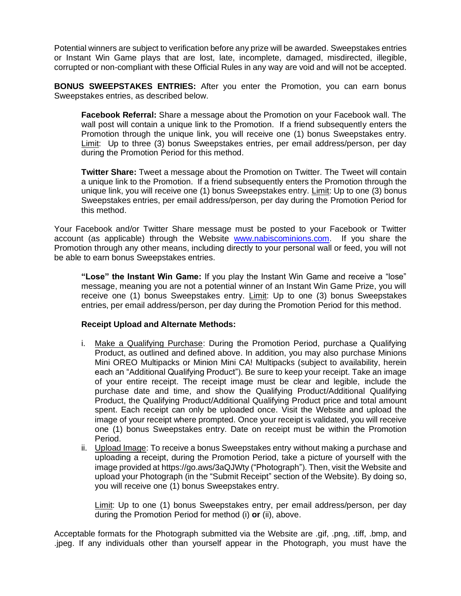Potential winners are subject to verification before any prize will be awarded. Sweepstakes entries or Instant Win Game plays that are lost, late, incomplete, damaged, misdirected, illegible, corrupted or non-compliant with these Official Rules in any way are void and will not be accepted.

**BONUS SWEEPSTAKES ENTRIES:** After you enter the Promotion, you can earn bonus Sweepstakes entries, as described below.

**Facebook Referral:** Share a message about the Promotion on your Facebook wall. The wall post will contain a unique link to the Promotion. If a friend subsequently enters the Promotion through the unique link, you will receive one (1) bonus Sweepstakes entry. Limit: Up to three (3) bonus Sweepstakes entries, per email address/person, per day during the Promotion Period for this method.

**Twitter Share:** Tweet a message about the Promotion on Twitter. The Tweet will contain a unique link to the Promotion. If a friend subsequently enters the Promotion through the unique link, you will receive one (1) bonus Sweepstakes entry. Limit: Up to one (3) bonus Sweepstakes entries, per email address/person, per day during the Promotion Period for this method.

Your Facebook and/or Twitter Share message must be posted to your Facebook or Twitter account (as applicable) through the Website [www.nabiscominions.com.](http://www.nabiscominions.com/) If you share the Promotion through any other means, including directly to your personal wall or feed, you will not be able to earn bonus Sweepstakes entries.

**"Lose" the Instant Win Game:** If you play the Instant Win Game and receive a "lose" message, meaning you are not a potential winner of an Instant Win Game Prize, you will receive one (1) bonus Sweepstakes entry. Limit: Up to one (3) bonus Sweepstakes entries, per email address/person, per day during the Promotion Period for this method.

### **Receipt Upload and Alternate Methods:**

- i. Make a Qualifying Purchase: During the Promotion Period, purchase a Qualifying Product, as outlined and defined above. In addition, you may also purchase Minions Mini OREO Multipacks or Minion Mini CA! Multipacks (subject to availability, herein each an "Additional Qualifying Product"). Be sure to keep your receipt. Take an image of your entire receipt. The receipt image must be clear and legible, include the purchase date and time, and show the Qualifying Product/Additional Qualifying Product, the Qualifying Product/Additional Qualifying Product price and total amount spent. Each receipt can only be uploaded once. Visit the Website and upload the image of your receipt where prompted. Once your receipt is validated, you will receive one (1) bonus Sweepstakes entry. Date on receipt must be within the Promotion Period.
- ii. Upload Image: To receive a bonus Sweepstakes entry without making a purchase and uploading a receipt, during the Promotion Period, take a picture of yourself with the image provided at https://go.aws/3aQJWty ("Photograph"). Then, visit the Website and upload your Photograph (in the "Submit Receipt" section of the Website). By doing so, you will receive one (1) bonus Sweepstakes entry.

Limit: Up to one (1) bonus Sweepstakes entry, per email address/person, per day during the Promotion Period for method (i) **or** (ii), above.

Acceptable formats for the Photograph submitted via the Website are .gif, .png, .tiff, .bmp, and .jpeg. If any individuals other than yourself appear in the Photograph, you must have the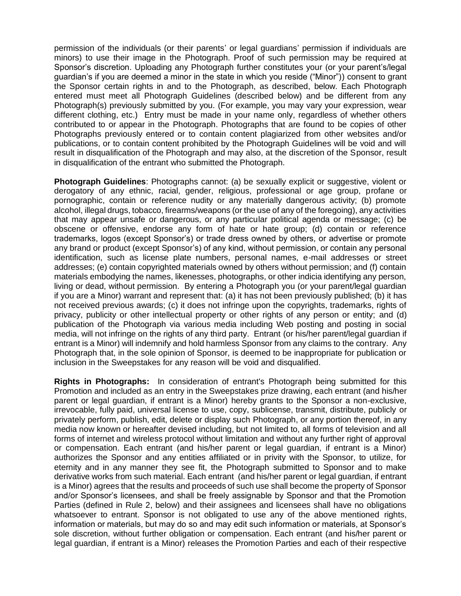permission of the individuals (or their parents' or legal guardians' permission if individuals are minors) to use their image in the Photograph. Proof of such permission may be required at Sponsor's discretion. Uploading any Photograph further constitutes your (or your parent's/legal guardian's if you are deemed a minor in the state in which you reside ("Minor")) consent to grant the Sponsor certain rights in and to the Photograph, as described, below. Each Photograph entered must meet all Photograph Guidelines (described below) and be different from any Photograph(s) previously submitted by you. (For example, you may vary your expression, wear different clothing, etc.) Entry must be made in your name only, regardless of whether others contributed to or appear in the Photograph. Photographs that are found to be copies of other Photographs previously entered or to contain content plagiarized from other websites and/or publications, or to contain content prohibited by the Photograph Guidelines will be void and will result in disqualification of the Photograph and may also, at the discretion of the Sponsor, result in disqualification of the entrant who submitted the Photograph.

**Photograph Guidelines**: Photographs cannot: (a) be sexually explicit or suggestive, violent or derogatory of any ethnic, racial, gender, religious, professional or age group, profane or pornographic, contain or reference nudity or any materially dangerous activity; (b) promote alcohol, illegal drugs, tobacco, firearms/weapons (or the use of any of the foregoing), any activities that may appear unsafe or dangerous, or any particular political agenda or message; (c) be obscene or offensive, endorse any form of hate or hate group; (d) contain or reference trademarks, logos (except Sponsor's) or trade dress owned by others, or advertise or promote any brand or product (except Sponsor's) of any kind, without permission, or contain any personal identification, such as license plate numbers, personal names, e-mail addresses or street addresses; (e) contain copyrighted materials owned by others without permission; and (f) contain materials embodying the names, likenesses, photographs, or other indicia identifying any person, living or dead, without permission. By entering a Photograph you (or your parent/legal guardian if you are a Minor) warrant and represent that: (a) it has not been previously published; (b) it has not received previous awards; (c) it does not infringe upon the copyrights, trademarks, rights of privacy, publicity or other intellectual property or other rights of any person or entity; and (d) publication of the Photograph via various media including Web posting and posting in social media, will not infringe on the rights of any third party. Entrant (or his/her parent/legal guardian if entrant is a Minor) will indemnify and hold harmless Sponsor from any claims to the contrary. Any Photograph that, in the sole opinion of Sponsor, is deemed to be inappropriate for publication or inclusion in the Sweepstakes for any reason will be void and disqualified.

**Rights in Photographs:** In consideration of entrant's Photograph being submitted for this Promotion and included as an entry in the Sweepstakes prize drawing, each entrant (and his/her parent or legal guardian, if entrant is a Minor) hereby grants to the Sponsor a non-exclusive, irrevocable, fully paid, universal license to use, copy, sublicense, transmit, distribute, publicly or privately perform, publish, edit, delete or display such Photograph, or any portion thereof, in any media now known or hereafter devised including, but not limited to, all forms of television and all forms of internet and wireless protocol without limitation and without any further right of approval or compensation. Each entrant (and his/her parent or legal guardian, if entrant is a Minor) authorizes the Sponsor and any entities affiliated or in privity with the Sponsor, to utilize, for eternity and in any manner they see fit, the Photograph submitted to Sponsor and to make derivative works from such material. Each entrant (and his/her parent or legal guardian, if entrant is a Minor) agrees that the results and proceeds of such use shall become the property of Sponsor and/or Sponsor's licensees, and shall be freely assignable by Sponsor and that the Promotion Parties (defined in Rule 2, below) and their assignees and licensees shall have no obligations whatsoever to entrant. Sponsor is not obligated to use any of the above mentioned rights, information or materials, but may do so and may edit such information or materials, at Sponsor's sole discretion, without further obligation or compensation. Each entrant (and his/her parent or legal guardian, if entrant is a Minor) releases the Promotion Parties and each of their respective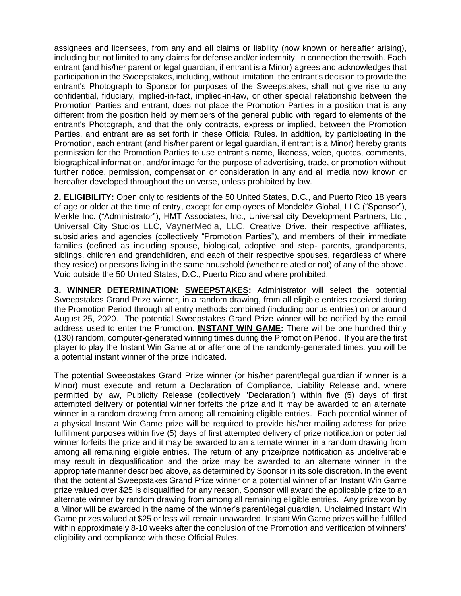assignees and licensees, from any and all claims or liability (now known or hereafter arising), including but not limited to any claims for defense and/or indemnity, in connection therewith. Each entrant (and his/her parent or legal guardian, if entrant is a Minor) agrees and acknowledges that participation in the Sweepstakes, including, without limitation, the entrant's decision to provide the entrant's Photograph to Sponsor for purposes of the Sweepstakes, shall not give rise to any confidential, fiduciary, implied-in-fact, implied-in-law, or other special relationship between the Promotion Parties and entrant, does not place the Promotion Parties in a position that is any different from the position held by members of the general public with regard to elements of the entrant's Photograph, and that the only contracts, express or implied, between the Promotion Parties, and entrant are as set forth in these Official Rules. In addition, by participating in the Promotion, each entrant (and his/her parent or legal guardian, if entrant is a Minor) hereby grants permission for the Promotion Parties to use entrant's name, likeness, voice, quotes, comments, biographical information, and/or image for the purpose of advertising, trade, or promotion without further notice, permission, compensation or consideration in any and all media now known or hereafter developed throughout the universe, unless prohibited by law.

**2. ELIGIBILITY:** Open only to residents of the 50 United States, D.C., and Puerto Rico 18 years of age or older at the time of entry, except for employees of Mondelēz Global, LLC ("Sponsor"), Merkle Inc. ("Administrator"), HMT Associates, Inc., Universal city Development Partners, Ltd., Universal City Studios LLC, VaynerMedia, LLC. Creative Drive, their respective affiliates, subsidiaries and agencies (collectively "Promotion Parties"), and members of their immediate families (defined as including spouse, biological, adoptive and step- parents, grandparents, siblings, children and grandchildren, and each of their respective spouses, regardless of where they reside) or persons living in the same household (whether related or not) of any of the above. Void outside the 50 United States, D.C., Puerto Rico and where prohibited.

**3. WINNER DETERMINATION: SWEEPSTAKES:** Administrator will select the potential Sweepstakes Grand Prize winner, in a random drawing, from all eligible entries received during the Promotion Period through all entry methods combined (including bonus entries) on or around August 25, 2020. The potential Sweepstakes Grand Prize winner will be notified by the email address used to enter the Promotion. **INSTANT WIN GAME:** There will be one hundred thirty (130) random, computer-generated winning times during the Promotion Period. If you are the first player to play the Instant Win Game at or after one of the randomly-generated times, you will be a potential instant winner of the prize indicated.

The potential Sweepstakes Grand Prize winner (or his/her parent/legal guardian if winner is a Minor) must execute and return a Declaration of Compliance, Liability Release and, where permitted by law, Publicity Release (collectively "Declaration") within five (5) days of first attempted delivery or potential winner forfeits the prize and it may be awarded to an alternate winner in a random drawing from among all remaining eligible entries. Each potential winner of a physical Instant Win Game prize will be required to provide his/her mailing address for prize fulfillment purposes within five (5) days of first attempted delivery of prize notification or potential winner forfeits the prize and it may be awarded to an alternate winner in a random drawing from among all remaining eligible entries. The return of any prize/prize notification as undeliverable may result in disqualification and the prize may be awarded to an alternate winner in the appropriate manner described above, as determined by Sponsor in its sole discretion. In the event that the potential Sweepstakes Grand Prize winner or a potential winner of an Instant Win Game prize valued over \$25 is disqualified for any reason, Sponsor will award the applicable prize to an alternate winner by random drawing from among all remaining eligible entries. Any prize won by a Minor will be awarded in the name of the winner's parent/legal guardian. Unclaimed Instant Win Game prizes valued at \$25 or less will remain unawarded. Instant Win Game prizes will be fulfilled within approximately 8-10 weeks after the conclusion of the Promotion and verification of winners' eligibility and compliance with these Official Rules.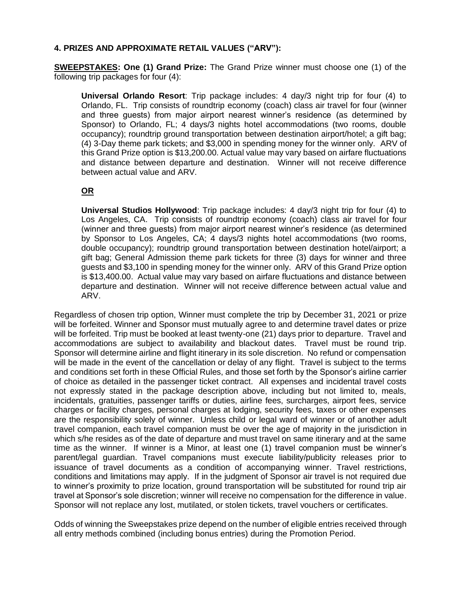# **4. PRIZES AND APPROXIMATE RETAIL VALUES ("ARV"):**

**SWEEPSTAKES: One (1) Grand Prize:** The Grand Prize winner must choose one (1) of the following trip packages for four (4):

**Universal Orlando Resort**: Trip package includes: 4 day/3 night trip for four (4) to Orlando, FL. Trip consists of roundtrip economy (coach) class air travel for four (winner and three guests) from major airport nearest winner's residence (as determined by Sponsor) to Orlando, FL; 4 days/3 nights hotel accommodations (two rooms, double occupancy); roundtrip ground transportation between destination airport/hotel; a gift bag; (4) 3-Day theme park tickets; and \$3,000 in spending money for the winner only. ARV of this Grand Prize option is \$13,200.00. Actual value may vary based on airfare fluctuations and distance between departure and destination. Winner will not receive difference between actual value and ARV.

# **OR**

**Universal Studios Hollywood**: Trip package includes: 4 day/3 night trip for four (4) to Los Angeles, CA. Trip consists of roundtrip economy (coach) class air travel for four (winner and three guests) from major airport nearest winner's residence (as determined by Sponsor to Los Angeles, CA; 4 days/3 nights hotel accommodations (two rooms, double occupancy); roundtrip ground transportation between destination hotel/airport; a gift bag; General Admission theme park tickets for three (3) days for winner and three guests and \$3,100 in spending money for the winner only. ARV of this Grand Prize option is \$13,400.00. Actual value may vary based on airfare fluctuations and distance between departure and destination. Winner will not receive difference between actual value and ARV.

Regardless of chosen trip option, Winner must complete the trip by December 31, 2021 or prize will be forfeited. Winner and Sponsor must mutually agree to and determine travel dates or prize will be forfeited. Trip must be booked at least twenty-one (21) days prior to departure. Travel and accommodations are subject to availability and blackout dates. Travel must be round trip. Sponsor will determine airline and flight itinerary in its sole discretion. No refund or compensation will be made in the event of the cancellation or delay of any flight. Travel is subject to the terms and conditions set forth in these Official Rules, and those set forth by the Sponsor's airline carrier of choice as detailed in the passenger ticket contract. All expenses and incidental travel costs not expressly stated in the package description above, including but not limited to, meals, incidentals, gratuities, passenger tariffs or duties, airline fees, surcharges, airport fees, service charges or facility charges, personal charges at lodging, security fees, taxes or other expenses are the responsibility solely of winner. Unless child or legal ward of winner or of another adult travel companion, each travel companion must be over the age of majority in the jurisdiction in which s/he resides as of the date of departure and must travel on same itinerary and at the same time as the winner. If winner is a Minor, at least one (1) travel companion must be winner's parent/legal guardian. Travel companions must execute liability/publicity releases prior to issuance of travel documents as a condition of accompanying winner. Travel restrictions, conditions and limitations may apply.If in the judgment of Sponsor air travel is not required due to winner's proximity to prize location, ground transportation will be substituted for round trip air travel at Sponsor's sole discretion; winner will receive no compensation for the difference in value. Sponsor will not replace any lost, mutilated, or stolen tickets, travel vouchers or certificates.

Odds of winning the Sweepstakes prize depend on the number of eligible entries received through all entry methods combined (including bonus entries) during the Promotion Period.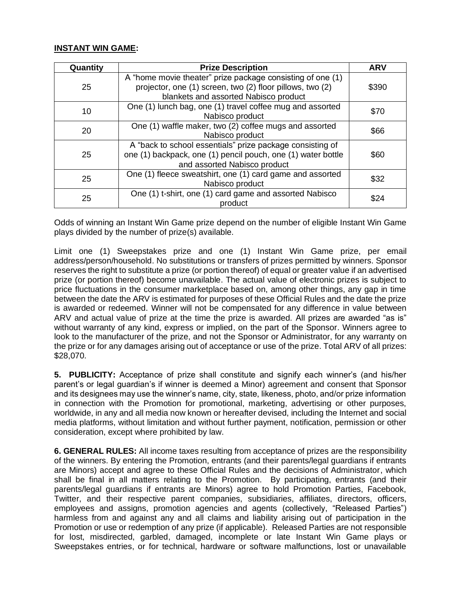# **INSTANT WIN GAME:**

| Quantity | <b>Prize Description</b>                                                                                                                                         | <b>ARV</b> |
|----------|------------------------------------------------------------------------------------------------------------------------------------------------------------------|------------|
| 25       | A "home movie theater" prize package consisting of one (1)<br>projector, one (1) screen, two (2) floor pillows, two (2)<br>blankets and assorted Nabisco product | \$390      |
| 10       | One (1) lunch bag, one (1) travel coffee mug and assorted<br>Nabisco product                                                                                     | \$70       |
| 20       | One (1) waffle maker, two (2) coffee mugs and assorted<br>Nabisco product                                                                                        | \$66       |
| 25       | A "back to school essentials" prize package consisting of<br>one (1) backpack, one (1) pencil pouch, one (1) water bottle<br>and assorted Nabisco product        | \$60       |
| 25       | One (1) fleece sweatshirt, one (1) card game and assorted<br>Nabisco product                                                                                     | \$32       |
| 25       | One (1) t-shirt, one (1) card game and assorted Nabisco<br>product                                                                                               | \$24       |

Odds of winning an Instant Win Game prize depend on the number of eligible Instant Win Game plays divided by the number of prize(s) available.

Limit one (1) Sweepstakes prize and one (1) Instant Win Game prize, per email address/person/household. No substitutions or transfers of prizes permitted by winners. Sponsor reserves the right to substitute a prize (or portion thereof) of equal or greater value if an advertised prize (or portion thereof) become unavailable. The actual value of electronic prizes is subject to price fluctuations in the consumer marketplace based on, among other things, any gap in time between the date the ARV is estimated for purposes of these Official Rules and the date the prize is awarded or redeemed. Winner will not be compensated for any difference in value between ARV and actual value of prize at the time the prize is awarded. All prizes are awarded "as is" without warranty of any kind, express or implied, on the part of the Sponsor. Winners agree to look to the manufacturer of the prize, and not the Sponsor or Administrator, for any warranty on the prize or for any damages arising out of acceptance or use of the prize. Total ARV of all prizes: \$28,070.

**5. PUBLICITY:** Acceptance of prize shall constitute and signify each winner's (and his/her parent's or legal guardian's if winner is deemed a Minor) agreement and consent that Sponsor and its designees may use the winner's name, city, state, likeness, photo, and/or prize information in connection with the Promotion for promotional, marketing, advertising or other purposes, worldwide, in any and all media now known or hereafter devised, including the Internet and social media platforms, without limitation and without further payment, notification, permission or other consideration, except where prohibited by law.

**6. GENERAL RULES:** All income taxes resulting from acceptance of prizes are the responsibility of the winners. By entering the Promotion, entrants (and their parents/legal guardians if entrants are Minors) accept and agree to these Official Rules and the decisions of Administrator, which shall be final in all matters relating to the Promotion. By participating, entrants (and their parents/legal guardians if entrants are Minors) agree to hold Promotion Parties, Facebook, Twitter, and their respective parent companies, subsidiaries, affiliates, directors, officers, employees and assigns, promotion agencies and agents (collectively, "Released Parties") harmless from and against any and all claims and liability arising out of participation in the Promotion or use or redemption of any prize (if applicable). Released Parties are not responsible for lost, misdirected, garbled, damaged, incomplete or late Instant Win Game plays or Sweepstakes entries, or for technical, hardware or software malfunctions, lost or unavailable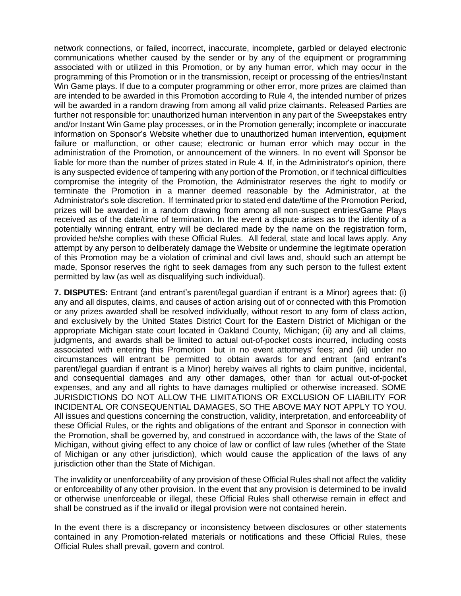network connections, or failed, incorrect, inaccurate, incomplete, garbled or delayed electronic communications whether caused by the sender or by any of the equipment or programming associated with or utilized in this Promotion, or by any human error, which may occur in the programming of this Promotion or in the transmission, receipt or processing of the entries/Instant Win Game plays. If due to a computer programming or other error, more prizes are claimed than are intended to be awarded in this Promotion according to Rule 4, the intended number of prizes will be awarded in a random drawing from among all valid prize claimants. Released Parties are further not responsible for: unauthorized human intervention in any part of the Sweepstakes entry and/or Instant Win Game play processes, or in the Promotion generally; incomplete or inaccurate information on Sponsor's Website whether due to unauthorized human intervention, equipment failure or malfunction, or other cause; electronic or human error which may occur in the administration of the Promotion, or announcement of the winners. In no event will Sponsor be liable for more than the number of prizes stated in Rule 4. If, in the Administrator's opinion, there is any suspected evidence of tampering with any portion of the Promotion, or if technical difficulties compromise the integrity of the Promotion, the Administrator reserves the right to modify or terminate the Promotion in a manner deemed reasonable by the Administrator, at the Administrator's sole discretion. If terminated prior to stated end date/time of the Promotion Period, prizes will be awarded in a random drawing from among all non-suspect entries/Game Plays received as of the date/time of termination. In the event a dispute arises as to the identity of a potentially winning entrant, entry will be declared made by the name on the registration form, provided he/she complies with these Official Rules. All federal, state and local laws apply. Any attempt by any person to deliberately damage the Website or undermine the legitimate operation of this Promotion may be a violation of criminal and civil laws and, should such an attempt be made, Sponsor reserves the right to seek damages from any such person to the fullest extent permitted by law (as well as disqualifying such individual).

**7. DISPUTES:** Entrant (and entrant's parent/legal guardian if entrant is a Minor) agrees that: (i) any and all disputes, claims, and causes of action arising out of or connected with this Promotion or any prizes awarded shall be resolved individually, without resort to any form of class action, and exclusively by the United States District Court for the Eastern District of Michigan or the appropriate Michigan state court located in Oakland County, Michigan; (ii) any and all claims, judgments, and awards shall be limited to actual out-of-pocket costs incurred, including costs associated with entering this Promotion but in no event attorneys' fees; and (iii) under no circumstances will entrant be permitted to obtain awards for and entrant (and entrant's parent/legal guardian if entrant is a Minor) hereby waives all rights to claim punitive, incidental, and consequential damages and any other damages, other than for actual out-of-pocket expenses, and any and all rights to have damages multiplied or otherwise increased. SOME JURISDICTIONS DO NOT ALLOW THE LIMITATIONS OR EXCLUSION OF LIABILITY FOR INCIDENTAL OR CONSEQUENTIAL DAMAGES, SO THE ABOVE MAY NOT APPLY TO YOU. All issues and questions concerning the construction, validity, interpretation, and enforceability of these Official Rules, or the rights and obligations of the entrant and Sponsor in connection with the Promotion, shall be governed by, and construed in accordance with, the laws of the State of Michigan, without giving effect to any choice of law or conflict of law rules (whether of the State of Michigan or any other jurisdiction), which would cause the application of the laws of any jurisdiction other than the State of Michigan.

The invalidity or unenforceability of any provision of these Official Rules shall not affect the validity or enforceability of any other provision. In the event that any provision is determined to be invalid or otherwise unenforceable or illegal, these Official Rules shall otherwise remain in effect and shall be construed as if the invalid or illegal provision were not contained herein.

In the event there is a discrepancy or inconsistency between disclosures or other statements contained in any Promotion-related materials or notifications and these Official Rules, these Official Rules shall prevail, govern and control.